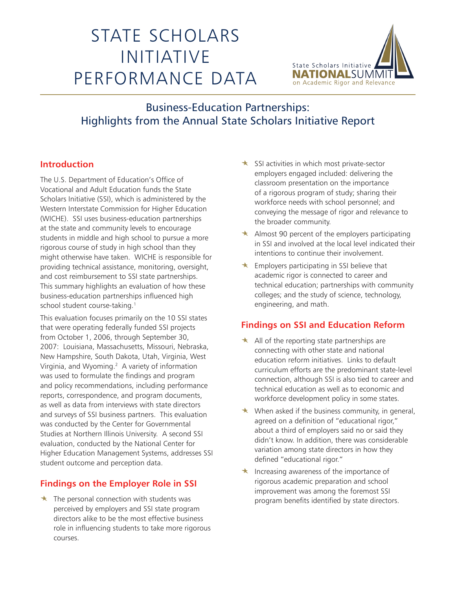# STATE SCHOLARS INITIATIVE PERFORMANCE DATA



# Business-Education Partnerships: Highlights from the Annual State Scholars Initiative Report

### **Introduction**

The U.S. Department of Education's Office of Vocational and Adult Education funds the State Scholars Initiative (SSI), which is administered by the Western Interstate Commission for Higher Education (WICHE). SSI uses business-education partnerships at the state and community levels to encourage students in middle and high school to pursue a more rigorous course of study in high school than they might otherwise have taken. WICHE is responsible for providing technical assistance, monitoring, oversight, and cost reimbursement to SSI state partnerships. This summary highlights an evaluation of how these business-education partnerships influenced high school student course-taking.<sup>1</sup>

This evaluation focuses primarily on the 10 SSI states that were operating federally funded SSI projects from October 1, 2006, through September 30, 2007: Louisiana, Massachusetts, Missouri, Nebraska, New Hampshire, South Dakota, Utah, Virginia, West Virginia, and Wyoming.2 A variety of information was used to formulate the findings and program and policy recommendations, including performance reports, correspondence, and program documents, as well as data from interviews with state directors and surveys of SSI business partners. This evaluation was conducted by the Center for Governmental Studies at Northern Illinois University. A second SSI evaluation, conducted by the National Center for Higher Education Management Systems, addresses SSI student outcome and perception data.

## **Findings on the Employer Role in SSI**

 $\star$  The personal connection with students was perceived by employers and SSI state program directors alike to be the most effective business role in influencing students to take more rigorous courses.

- $\star$  SSI activities in which most private-sector employers engaged included: delivering the classroom presentation on the importance of a rigorous program of study; sharing their workforce needs with school personnel; and conveying the message of rigor and relevance to the broader community.
- $\star$  Almost 90 percent of the employers participating in SSI and involved at the local level indicated their intentions to continue their involvement.
- $\star$  Employers participating in SSI believe that academic rigor is connected to career and technical education; partnerships with community colleges; and the study of science, technology, engineering, and math.

#### **Findings on SSI and Education Reform**

- $\star$  All of the reporting state partnerships are connecting with other state and national education reform initiatives. Links to default curriculum efforts are the predominant state-level connection, although SSI is also tied to career and technical education as well as to economic and workforce development policy in some states.
- $\star$  When asked if the business community, in general, agreed on a definition of "educational rigor," about a third of employers said no or said they didn't know. In addition, there was considerable variation among state directors in how they defined "educational rigor."
- Increasing awareness of the importance of rigorous academic preparation and school improvement was among the foremost SSI program benefits identified by state directors.